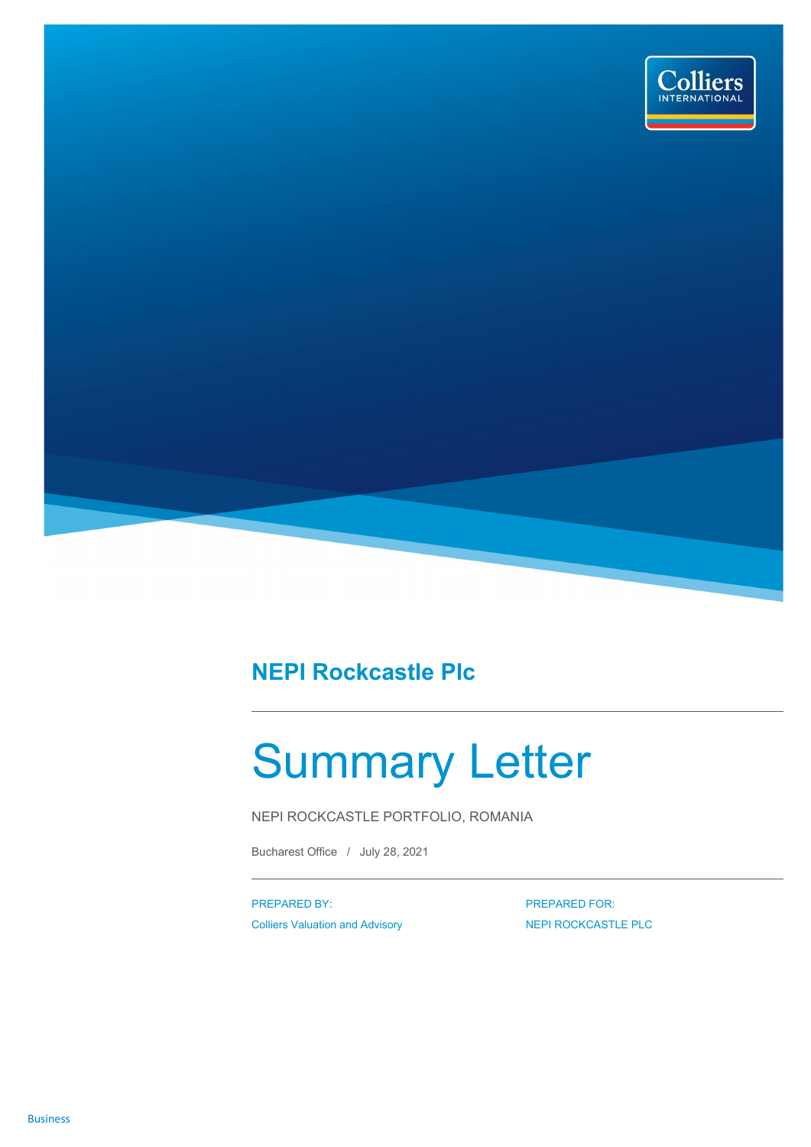

## **NEPI Rockcastle Plc**

## Summary Letter

NEPI ROCKCASTLE PORTFOLIO, ROMANIA

Bucharest Office / July 28, 2021

PREPARED BY: Colliers Valuation and Advisory PREPARED FOR: NEPI ROCKCASTLE PLC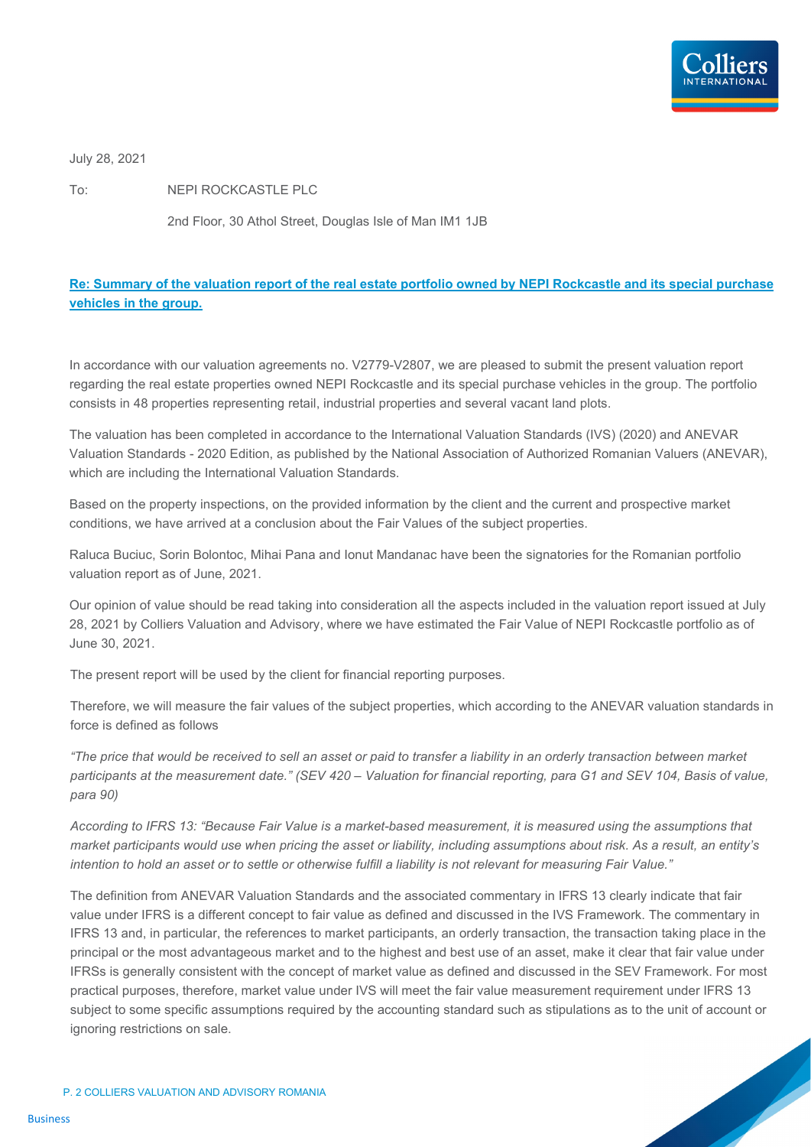

July 28, 2021

To: NEPI ROCKCASTLE PLC

2nd Floor, 30 Athol Street, Douglas Isle of Man IM1 1JB

## **Re: Summary of the valuation report of the real estate portfolio owned by NEPI Rockcastle and its special purchase vehicles in the group.**

In accordance with our valuation agreements no. V2779-V2807, we are pleased to submit the present valuation report regarding the real estate properties owned NEPI Rockcastle and its special purchase vehicles in the group. The portfolio consists in 48 properties representing retail, industrial properties and several vacant land plots.

The valuation has been completed in accordance to the International Valuation Standards (IVS) (2020) and ANEVAR Valuation Standards - 2020 Edition, as published by the National Association of Authorized Romanian Valuers (ANEVAR), which are including the International Valuation Standards.

Based on the property inspections, on the provided information by the client and the current and prospective market conditions, we have arrived at a conclusion about the Fair Values of the subject properties.

Raluca Buciuc, Sorin Bolontoc, Mihai Pana and Ionut Mandanac have been the signatories for the Romanian portfolio valuation report as of June, 2021.

Our opinion of value should be read taking into consideration all the aspects included in the valuation report issued at July 28, 2021 by Colliers Valuation and Advisory, where we have estimated the Fair Value of NEPI Rockcastle portfolio as of June 30, 2021.

The present report will be used by the client for financial reporting purposes.

Therefore, we will measure the fair values of the subject properties, which according to the ANEVAR valuation standards in force is defined as follows

*"The price that would be received to sell an asset or paid to transfer a liability in an orderly transaction between market participants at the measurement date." (SEV 420 – Valuation for financial reporting, para G1 and SEV 104, Basis of value, para 90)*

*According to IFRS 13: "Because Fair Value is a market-based measurement, it is measured using the assumptions that market participants would use when pricing the asset or liability, including assumptions about risk. As a result, an entity's intention to hold an asset or to settle or otherwise fulfill a liability is not relevant for measuring Fair Value."*

The definition from ANEVAR Valuation Standards and the associated commentary in IFRS 13 clearly indicate that fair value under IFRS is a different concept to fair value as defined and discussed in the IVS Framework. The commentary in IFRS 13 and, in particular, the references to market participants, an orderly transaction, the transaction taking place in the principal or the most advantageous market and to the highest and best use of an asset, make it clear that fair value under IFRSs is generally consistent with the concept of market value as defined and discussed in the SEV Framework. For most practical purposes, therefore, market value under IVS will meet the fair value measurement requirement under IFRS 13 subject to some specific assumptions required by the accounting standard such as stipulations as to the unit of account or ignoring restrictions on sale.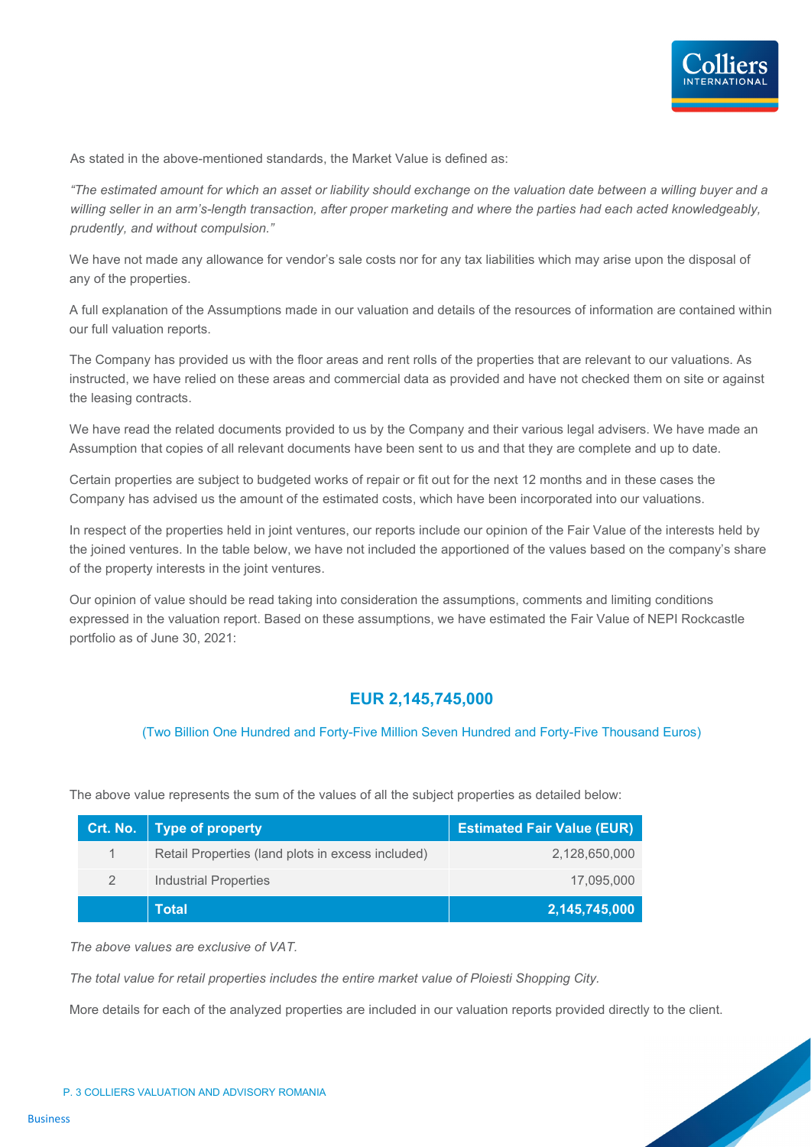

As stated in the above-mentioned standards, the Market Value is defined as:

*"The estimated amount for which an asset or liability should exchange on the valuation date between a willing buyer and a*  willing seller in an arm's-length transaction, after proper marketing and where the parties had each acted knowledgeably, *prudently, and without compulsion."*

We have not made any allowance for vendor's sale costs nor for any tax liabilities which may arise upon the disposal of any of the properties.

A full explanation of the Assumptions made in our valuation and details of the resources of information are contained within our full valuation reports.

The Company has provided us with the floor areas and rent rolls of the properties that are relevant to our valuations. As instructed, we have relied on these areas and commercial data as provided and have not checked them on site or against the leasing contracts.

We have read the related documents provided to us by the Company and their various legal advisers. We have made an Assumption that copies of all relevant documents have been sent to us and that they are complete and up to date.

Certain properties are subject to budgeted works of repair or fit out for the next 12 months and in these cases the Company has advised us the amount of the estimated costs, which have been incorporated into our valuations.

In respect of the properties held in joint ventures, our reports include our opinion of the Fair Value of the interests held by the joined ventures. In the table below, we have not included the apportioned of the values based on the company's share of the property interests in the joint ventures.

Our opinion of value should be read taking into consideration the assumptions, comments and limiting conditions expressed in the valuation report. Based on these assumptions, we have estimated the Fair Value of NEPI Rockcastle portfolio as of June 30, 2021:

## **EUR 2,145,745,000**

(Two Billion One Hundred and Forty-Five Million Seven Hundred and Forty-Five Thousand Euros)

The above value represents the sum of the values of all the subject properties as detailed below:

| Crt. No. | <b>Type of property</b>                           | <b>Estimated Fair Value (EUR)</b> |
|----------|---------------------------------------------------|-----------------------------------|
| 1        | Retail Properties (land plots in excess included) | 2,128,650,000                     |
| 2        | Industrial Properties                             | 17,095,000                        |
|          | <b>Total</b>                                      | 2,145,745,000                     |

*The above values are exclusive of VAT.*

*The total value for retail properties includes the entire market value of Ploiesti Shopping City.*

More details for each of the analyzed properties are included in our valuation reports provided directly to the client.